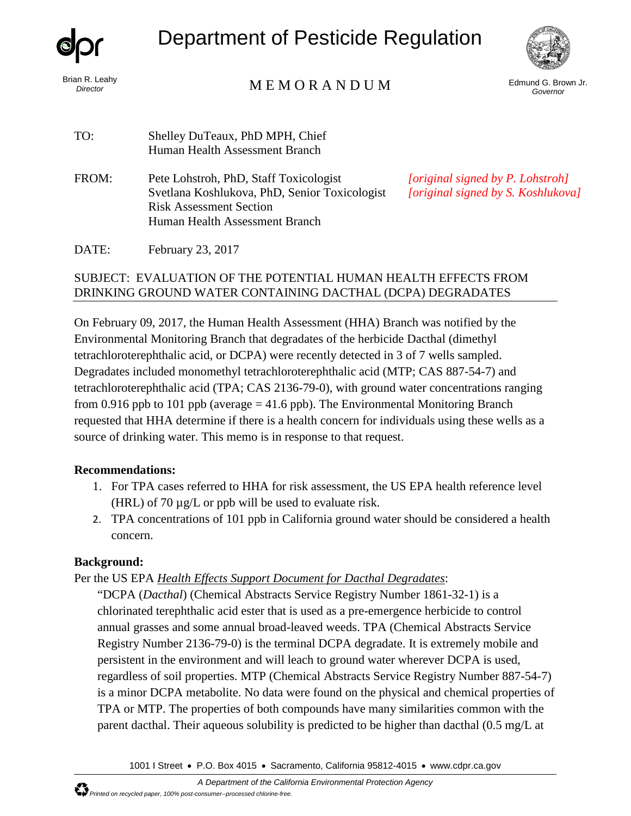

*Director*

Department of Pesticide Regulation



## Brian R. Leahy<br>Director

Edmund G. Brown Jr. *Governor*

| TO:   | Shelley DuTeaux, PhD MPH, Chief<br>Human Health Assessment Branch                                                                                           |                                                            |
|-------|-------------------------------------------------------------------------------------------------------------------------------------------------------------|------------------------------------------------------------|
| FROM: | Pete Lohstroh, PhD, Staff Toxicologist<br>Svetlana Koshlukova, PhD, Senior Toxicologist<br><b>Risk Assessment Section</b><br>Human Health Assessment Branch | <i>[original signed by</i> ]<br><i>[original signed by</i> |
|       |                                                                                                                                                             |                                                            |

*[original signed by P. Lohstroh] [original signed by S. Koshlukova]*

DATE: February 23, 2017

#### SUBJECT: EVALUATION OF THE POTENTIAL HUMAN HEALTH EFFECTS FROM DRINKING GROUND WATER CONTAINING DACTHAL (DCPA) DEGRADATES

On February 09, 2017, the Human Health Assessment (HHA) Branch was notified by the Environmental Monitoring Branch that degradates of the herbicide Dacthal (dimethyl tetrachloroterephthalic acid, or DCPA) were recently detected in 3 of 7 wells sampled. Degradates included monomethyl tetrachloroterephthalic acid (MTP; CAS 887-54-7) and tetrachloroterephthalic acid (TPA; CAS 2136-79-0), with ground water concentrations ranging from 0.916 ppb to 101 ppb (average  $=$  41.6 ppb). The Environmental Monitoring Branch requested that HHA determine if there is a health concern for individuals using these wells as a source of drinking water. This memo is in response to that request.

#### **Recommendations:**

- 1. For TPA cases referred to HHA for risk assessment, the US EPA health reference level (HRL) of 70  $\mu$ g/L or ppb will be used to evaluate risk.
- 2. TPA concentrations of 101 ppb in California ground water should be considered a health concern.

### **Background:**

Per the US EPA *Health Effects Support Document for Dacthal Degradates*:

"DCPA (*Dacthal*) (Chemical Abstracts Service Registry Number 1861-32-1) is a chlorinated terephthalic acid ester that is used as a pre-emergence herbicide to control annual grasses and some annual broad-leaved weeds. TPA (Chemical Abstracts Service Registry Number 2136-79-0) is the terminal DCPA degradate. It is extremely mobile and persistent in the environment and will leach to ground water wherever DCPA is used, regardless of soil properties. MTP (Chemical Abstracts Service Registry Number 887-54-7) is a minor DCPA metabolite. No data were found on the physical and chemical properties of TPA or MTP. The properties of both compounds have many similarities common with the parent dacthal. Their aqueous solubility is predicted to be higher than dacthal (0.5 mg/L at

1001 I Street • P.O. Box 4015 • Sacramento, California 95812-4015 • www.cdpr.ca.gov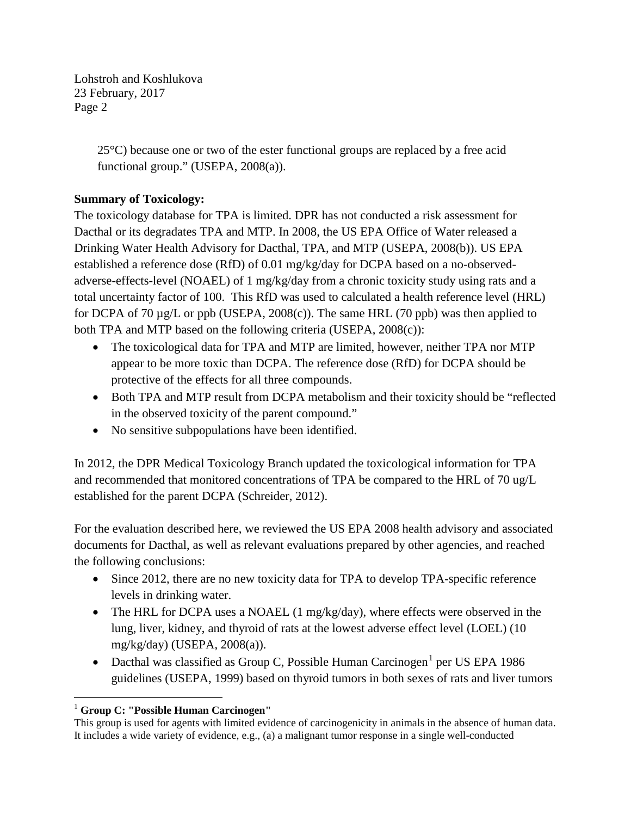> 25°C) because one or two of the ester functional groups are replaced by a free acid functional group." (USEPA, 2008(a)).

### **Summary of Toxicology:**

The toxicology database for TPA is limited. DPR has not conducted a risk assessment for Dacthal or its degradates TPA and MTP. In 2008, the US EPA Office of Water released a Drinking Water Health Advisory for Dacthal, TPA, and MTP (USEPA, 2008(b)). US EPA established a reference dose (RfD) of 0.01 mg/kg/day for DCPA based on a no-observedadverse-effects-level (NOAEL) of 1 mg/kg/day from a chronic toxicity study using rats and a total uncertainty factor of 100. This RfD was used to calculated a health reference level (HRL) for DCPA of 70 µg/L or ppb (USEPA, 2008(c)). The same HRL (70 ppb) was then applied to both TPA and MTP based on the following criteria (USEPA, 2008(c)):

- The toxicological data for TPA and MTP are limited, however, neither TPA nor MTP appear to be more toxic than DCPA. The reference dose (RfD) for DCPA should be protective of the effects for all three compounds.
- Both TPA and MTP result from DCPA metabolism and their toxicity should be "reflected" in the observed toxicity of the parent compound."
- No sensitive subpopulations have been identified.

In 2012, the DPR Medical Toxicology Branch updated the toxicological information for TPA and recommended that monitored concentrations of TPA be compared to the HRL of 70 ug/L established for the parent DCPA (Schreider, 2012).

For the evaluation described here, we reviewed the US EPA 2008 health advisory and associated documents for Dacthal, as well as relevant evaluations prepared by other agencies, and reached the following conclusions:

- Since 2012, there are no new toxicity data for TPA to develop TPA-specific reference levels in drinking water.
- The HRL for DCPA uses a NOAEL (1 mg/kg/day), where effects were observed in the lung, liver, kidney, and thyroid of rats at the lowest adverse effect level (LOEL) (10 mg/kg/day) (USEPA, 2008(a)).
- Dacthal was classified as Group C, Possible Human Carcinogen<sup>1</sup> per US EPA 1986 guidelines (USEPA, 1999) based on thyroid tumors in both sexes of rats and liver tumors

 $\overline{a}$ <sup>1</sup> **Group C: "Possible Human Carcinogen"** 

This group is used for agents with limited evidence of carcinogenicity in animals in the absence of human data. It includes a wide variety of evidence, e.g., (a) a malignant tumor response in a single well-conducted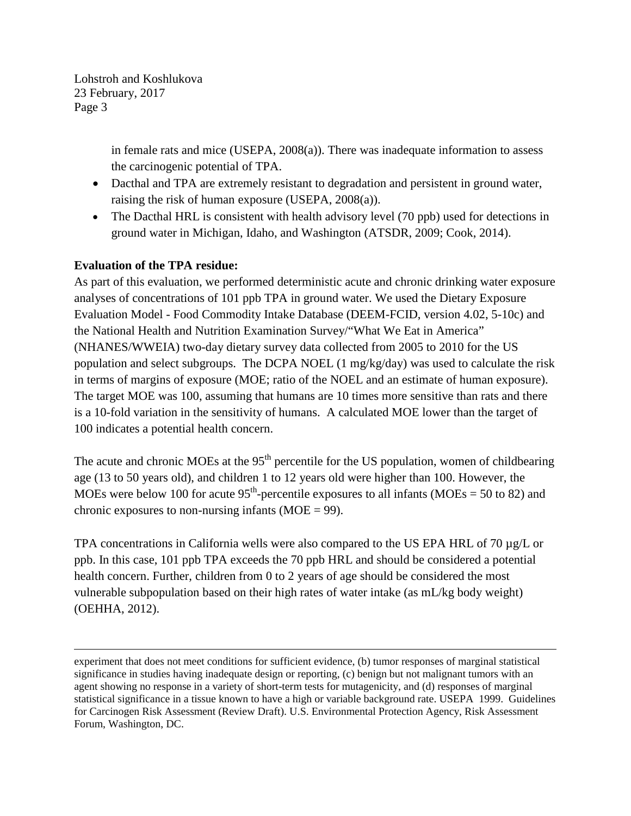> in female rats and mice (USEPA, 2008(a)). There was inadequate information to assess the carcinogenic potential of TPA.

- Dacthal and TPA are extremely resistant to degradation and persistent in ground water, raising the risk of human exposure (USEPA, 2008(a)).
- The Dacthal HRL is consistent with health advisory level (70 ppb) used for detections in ground water in Michigan, Idaho, and Washington (ATSDR, 2009; Cook, 2014).

#### **Evaluation of the TPA residue:**

 $\overline{a}$ 

As part of this evaluation, we performed deterministic acute and chronic drinking water exposure analyses of concentrations of 101 ppb TPA in ground water. We used the Dietary Exposure Evaluation Model - Food Commodity Intake Database (DEEM-FCID, version 4.02, 5-10c) and the National Health and Nutrition Examination Survey/"What We Eat in America" (NHANES/WWEIA) two-day dietary survey data collected from 2005 to 2010 for the US population and select subgroups. The DCPA NOEL (1 mg/kg/day) was used to calculate the risk in terms of margins of exposure (MOE; ratio of the NOEL and an estimate of human exposure). The target MOE was 100, assuming that humans are 10 times more sensitive than rats and there is a 10-fold variation in the sensitivity of humans. A calculated MOE lower than the target of 100 indicates a potential health concern.

The acute and chronic MOEs at the  $95<sup>th</sup>$  percentile for the US population, women of childbearing age (13 to 50 years old), and children 1 to 12 years old were higher than 100. However, the MOEs were below 100 for acute  $95<sup>th</sup>$ -percentile exposures to all infants (MOEs = 50 to 82) and chronic exposures to non-nursing infants ( $MOE = 99$ ).

TPA concentrations in California wells were also compared to the US EPA HRL of 70 µg/L or ppb. In this case, 101 ppb TPA exceeds the 70 ppb HRL and should be considered a potential health concern. Further, children from 0 to 2 years of age should be considered the most vulnerable subpopulation based on their high rates of water intake (as mL/kg body weight) (OEHHA, 2012).

experiment that does not meet conditions for sufficient evidence, (b) tumor responses of marginal statistical significance in studies having inadequate design or reporting, (c) benign but not malignant tumors with an agent showing no response in a variety of short-term tests for mutagenicity, and (d) responses of marginal statistical significance in a tissue known to have a high or variable background rate. USEPA 1999. Guidelines for Carcinogen Risk Assessment (Review Draft). U.S. Environmental Protection Agency, Risk Assessment Forum, Washington, DC.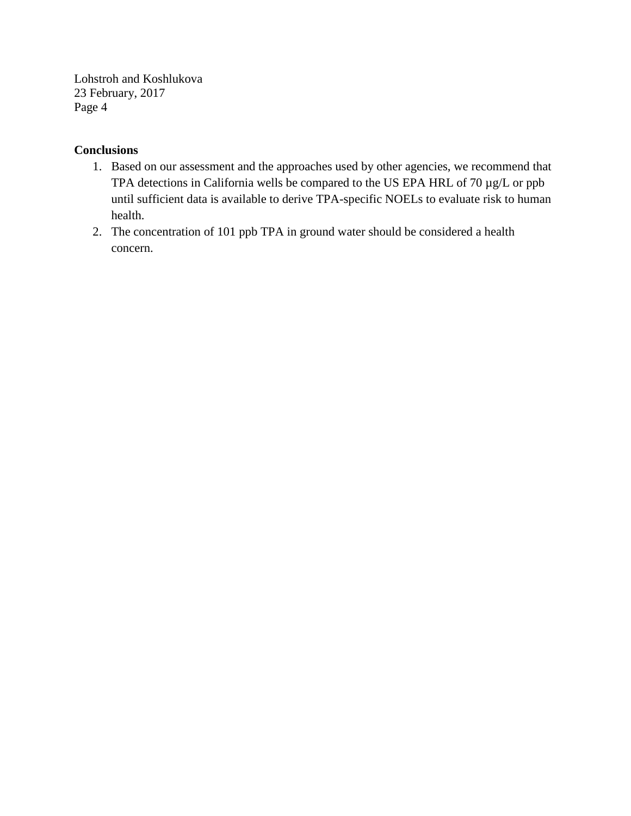#### **Conclusions**

- 1. Based on our assessment and the approaches used by other agencies, we recommend that TPA detections in California wells be compared to the US EPA HRL of 70 µg/L or ppb until sufficient data is available to derive TPA-specific NOELs to evaluate risk to human health.
- 2. The concentration of 101 ppb TPA in ground water should be considered a health concern.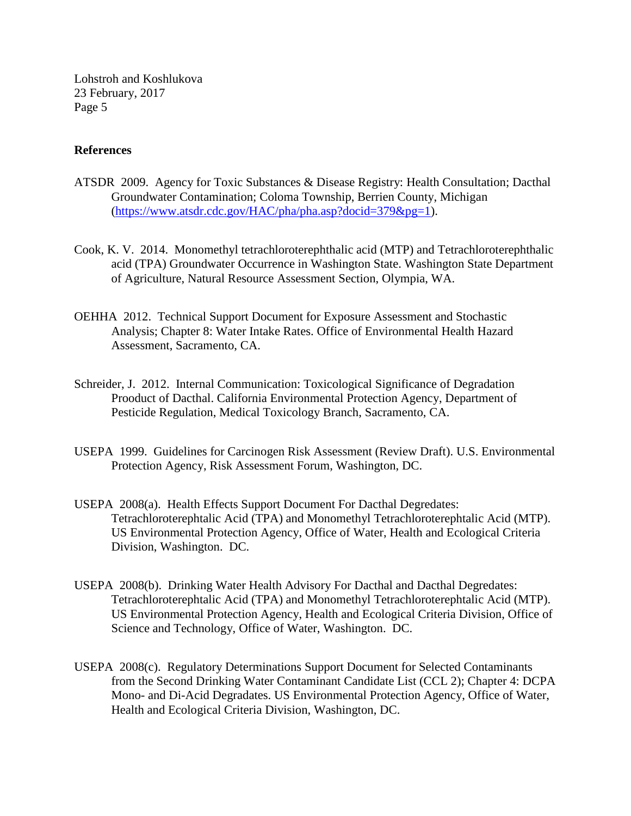#### **References**

- ATSDR 2009. Agency for Toxic Substances & Disease Registry: Health Consultation; Dacthal Groundwater Contamination; Coloma Township, Berrien County, Michigan [\(https://www.atsdr.cdc.gov/HAC/pha/pha.asp?docid=379&pg=1\)](https://www.atsdr.cdc.gov/HAC/pha/pha.asp?docid=379&pg=1).
- Cook, K. V. 2014. Monomethyl tetrachloroterephthalic acid (MTP) and Tetrachloroterephthalic acid (TPA) Groundwater Occurrence in Washington State. Washington State Department of Agriculture, Natural Resource Assessment Section, Olympia, WA.
- OEHHA 2012. Technical Support Document for Exposure Assessment and Stochastic Analysis; Chapter 8: Water Intake Rates. Office of Environmental Health Hazard Assessment, Sacramento, CA.
- Schreider, J. 2012. Internal Communication: Toxicological Significance of Degradation Prooduct of Dacthal. California Environmental Protection Agency, Department of Pesticide Regulation, Medical Toxicology Branch, Sacramento, CA.
- USEPA 1999. Guidelines for Carcinogen Risk Assessment (Review Draft). U.S. Environmental Protection Agency, Risk Assessment Forum, Washington, DC.
- USEPA 2008(a). Health Effects Support Document For Dacthal Degredates: Tetrachloroterephtalic Acid (TPA) and Monomethyl Tetrachloroterephtalic Acid (MTP). US Environmental Protection Agency, Office of Water, Health and Ecological Criteria Division, Washington. DC.
- USEPA 2008(b). Drinking Water Health Advisory For Dacthal and Dacthal Degredates: Tetrachloroterephtalic Acid (TPA) and Monomethyl Tetrachloroterephtalic Acid (MTP). US Environmental Protection Agency, Health and Ecological Criteria Division, Office of Science and Technology, Office of Water, Washington. DC.
- USEPA 2008(c). Regulatory Determinations Support Document for Selected Contaminants from the Second Drinking Water Contaminant Candidate List (CCL 2); Chapter 4: DCPA Mono- and Di-Acid Degradates. US Environmental Protection Agency, Office of Water, Health and Ecological Criteria Division, Washington, DC.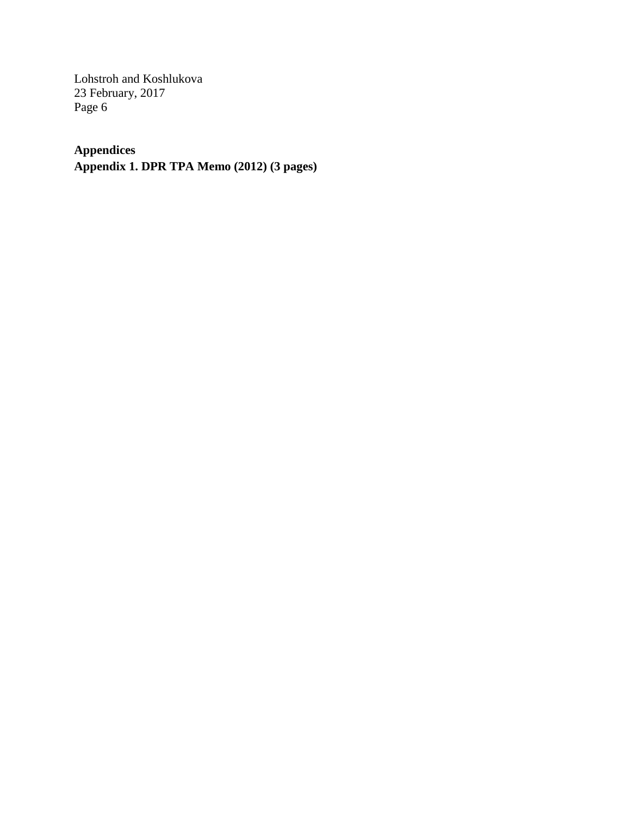# **Appendices**

**Appendix 1. DPR TPA Memo (2012) (3 pages)**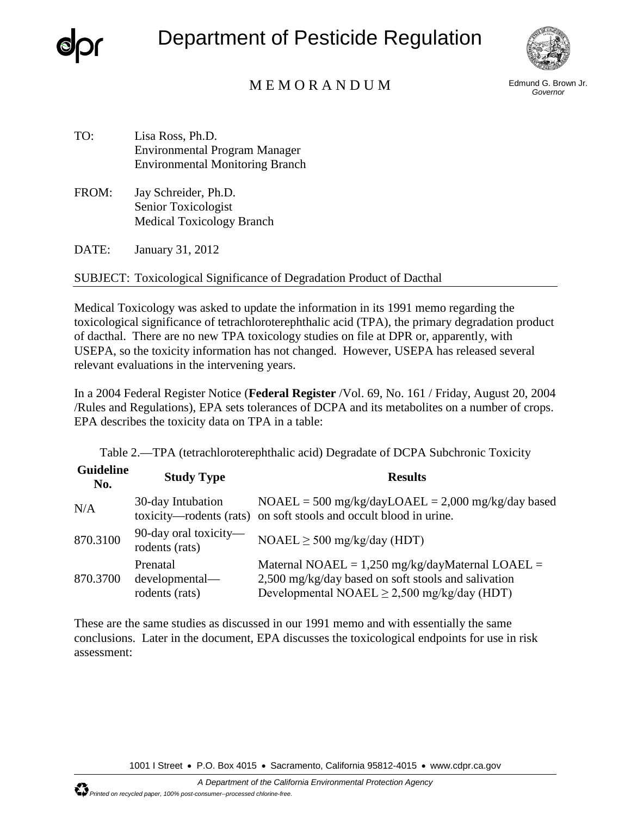

Department of Pesticide Regulation



### M E M O R A N D U M Edmund G. Brown Jr.

*Governor*

- TO: Lisa Ross, Ph.D. Environmental Program Manager Environmental Monitoring Branch
- FROM: Jay Schreider, Ph.D. Senior Toxicologist Medical Toxicology Branch

DATE: January 31, 2012

SUBJECT: Toxicological Significance of Degradation Product of Dacthal

Medical Toxicology was asked to update the information in its 1991 memo regarding the toxicological significance of tetrachloroterephthalic acid (TPA), the primary degradation product of dacthal. There are no new TPA toxicology studies on file at DPR or, apparently, with USEPA, so the toxicity information has not changed. However, USEPA has released several relevant evaluations in the intervening years.

In a 2004 Federal Register Notice (**Federal Register** /Vol. 69, No. 161 / Friday, August 20, 2004 /Rules and Regulations), EPA sets tolerances of DCPA and its metabolites on a number of crops. EPA describes the toxicity data on TPA in a table:

Table 2.—TPA (tetrachloroterephthalic acid) Degradate of DCPA Subchronic Toxicity

| <b>Guideline</b><br>No. | <b>Study Type</b>                            | <b>Results</b>                                                                                                                                                |
|-------------------------|----------------------------------------------|---------------------------------------------------------------------------------------------------------------------------------------------------------------|
| N/A                     | 30-day Intubation                            | $NOAEL = 500$ mg/kg/dayLOAEL = 2,000 mg/kg/day based<br>toxicity—rodents (rats) on soft stools and occult blood in urine.                                     |
| 870.3100                | 90-day oral toxicity—<br>rodents (rats)      | $NOAEL \geq 500$ mg/kg/day (HDT)                                                                                                                              |
| 870.3700                | Prenatal<br>developmental-<br>rodents (rats) | Maternal NOAEL = $1,250$ mg/kg/dayMaternal LOAEL =<br>2,500 mg/kg/day based on soft stools and salivation<br>Developmental NOAEL $\geq$ 2,500 mg/kg/day (HDT) |

These are the same studies as discussed in our 1991 memo and with essentially the same conclusions. Later in the document, EPA discusses the toxicological endpoints for use in risk assessment:

1001 I Street • P.O. Box 4015 • Sacramento, California 95812-4015 • www.cdpr.ca.gov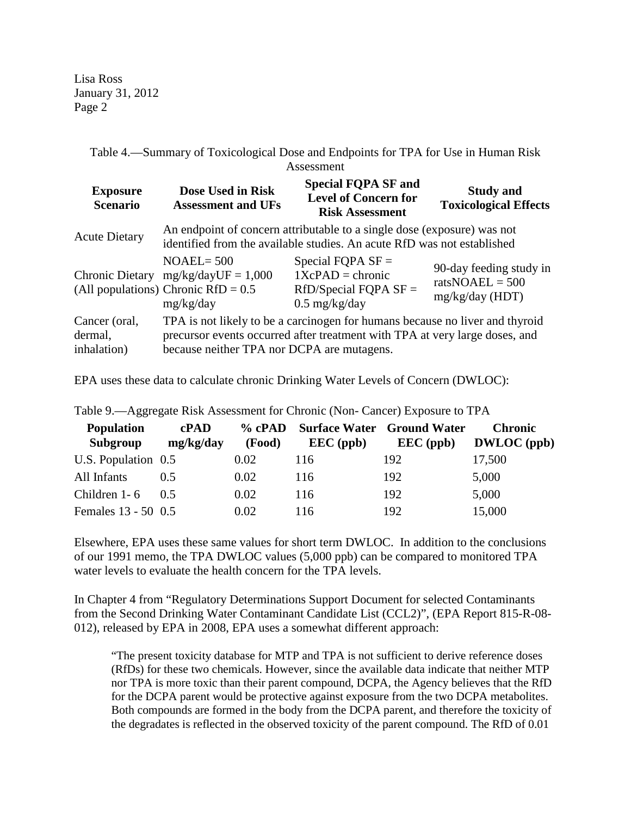Lisa Ross January 31, 2012 Page 2

> Table 4.—Summary of Toxicological Dose and Endpoints for TPA for Use in Human Risk Assessment

| <b>Exposure</b><br><b>Scenario</b>      | Dose Used in Risk<br><b>Assessment and UFs</b>                                                                                                                                                            | <b>Special FQPA SF and</b><br><b>Level of Concern for</b><br><b>Risk Assessment</b>     | <b>Study and</b><br><b>Toxicological Effects</b>                  |  |  |
|-----------------------------------------|-----------------------------------------------------------------------------------------------------------------------------------------------------------------------------------------------------------|-----------------------------------------------------------------------------------------|-------------------------------------------------------------------|--|--|
| <b>Acute Dietary</b>                    | An endpoint of concern attributable to a single dose (exposure) was not<br>identified from the available studies. An acute RfD was not established                                                        |                                                                                         |                                                                   |  |  |
| <b>Chronic Dietary</b>                  | $NOAEL = 500$<br>$mg/kg/dayUF = 1,000$<br>(All populations) Chronic $RfD = 0.5$<br>mg/kg/day                                                                                                              | Special FQPA $SF =$<br>$1XcPAD = chronic$<br>$RfD/Special FQPA SF =$<br>$0.5$ mg/kg/day | 90-day feeding study in<br>ratsNOAEL = $500$<br>$mg/kg/day$ (HDT) |  |  |
| Cancer (oral,<br>dermal,<br>inhalation) | TPA is not likely to be a carcinogen for humans because no liver and thyroid<br>precursor events occurred after treatment with TPA at very large doses, and<br>because neither TPA nor DCPA are mutagens. |                                                                                         |                                                                   |  |  |

EPA uses these data to calculate chronic Drinking Water Levels of Concern (DWLOC):

| <b>Population</b><br>Subgroup | c <b>PAD</b><br>mg/kg/day | (Food) | % cPAD Surface Water Ground Water<br>$\text{EEC (ppb)}$ | $\text{EEC (ppb)}$ | <b>Chronic</b><br><b>DWLOC</b> (ppb) |
|-------------------------------|---------------------------|--------|---------------------------------------------------------|--------------------|--------------------------------------|
| U.S. Population 0.5           |                           | 0.02   | 116                                                     | 192                | 17,500                               |
| All Infants                   | 0.5                       | 0.02   | 116                                                     | 192                | 5,000                                |
| Children 1-6                  | 0.5                       | 0.02   | 116                                                     | 192                | 5,000                                |
| Females 13 - 50 0.5           |                           | 0.02   | 116                                                     | 192                | 15,000                               |

Table 9.—Aggregate Risk Assessment for Chronic (Non- Cancer) Exposure to TPA

Elsewhere, EPA uses these same values for short term DWLOC. In addition to the conclusions of our 1991 memo, the TPA DWLOC values (5,000 ppb) can be compared to monitored TPA water levels to evaluate the health concern for the TPA levels.

In Chapter 4 from "Regulatory Determinations Support Document for selected Contaminants from the Second Drinking Water Contaminant Candidate List (CCL2)", (EPA Report 815-R-08- 012), released by EPA in 2008, EPA uses a somewhat different approach:

"The present toxicity database for MTP and TPA is not sufficient to derive reference doses (RfDs) for these two chemicals. However, since the available data indicate that neither MTP nor TPA is more toxic than their parent compound, DCPA, the Agency believes that the RfD for the DCPA parent would be protective against exposure from the two DCPA metabolites. Both compounds are formed in the body from the DCPA parent, and therefore the toxicity of the degradates is reflected in the observed toxicity of the parent compound. The RfD of 0.01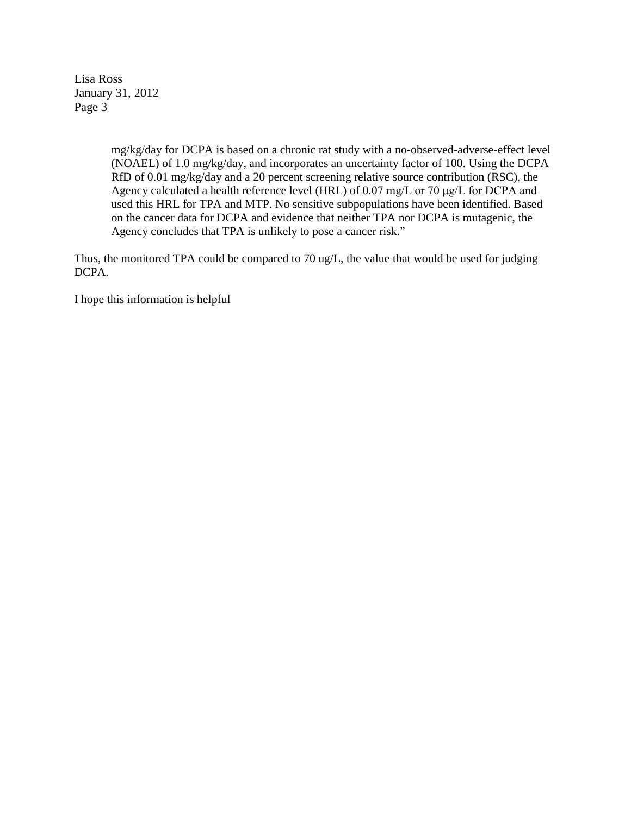Lisa Ross January 31, 2012 Page 3

> mg/kg/day for DCPA is based on a chronic rat study with a no-observed-adverse-effect level (NOAEL) of 1.0 mg/kg/day, and incorporates an uncertainty factor of 100. Using the DCPA RfD of 0.01 mg/kg/day and a 20 percent screening relative source contribution (RSC), the Agency calculated a health reference level (HRL) of 0.07 mg/L or 70 μg/L for DCPA and used this HRL for TPA and MTP. No sensitive subpopulations have been identified. Based on the cancer data for DCPA and evidence that neither TPA nor DCPA is mutagenic, the Agency concludes that TPA is unlikely to pose a cancer risk."

Thus, the monitored TPA could be compared to 70 ug/L, the value that would be used for judging DCPA.

I hope this information is helpful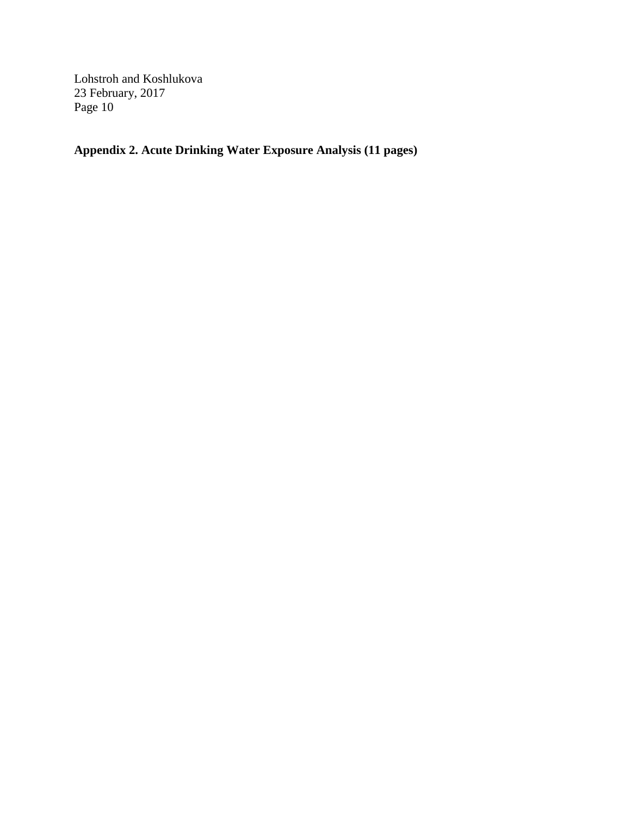**Appendix 2. Acute Drinking Water Exposure Analysis (11 pages)**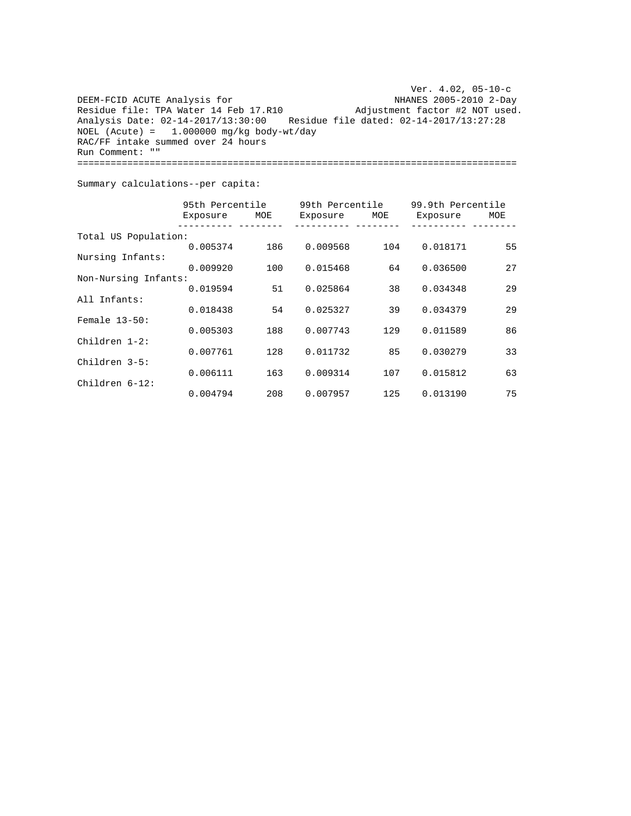DEEM-FCID ACUTE Analysis for Residue file: TPA Water 14 Feb 17. Analysis Date: 02-14-2017/13:30:00 Residue file dated: 02-14-2017/13:27:28 NOEL (Acute) = 1.000000 mg/kg body-wt/day RAC/FF intake summed ove r 24 hours Run Comment: "" Ver. 4.02, 05-10-c NHANES 2005-2010 2-Day Adjustment factor #2 NOT used. ===============================================================================

Summary calculations--per capita:

|                      | 95th Percentile |     | 99th Percentile |     | 99.9th Percentile |     |
|----------------------|-----------------|-----|-----------------|-----|-------------------|-----|
|                      | Exposure        | MOE | Exposure        | MOE | Exposure          | MOE |
| Total US Population: |                 |     |                 |     |                   |     |
|                      | 0.005374        | 186 | 0.009568        | 104 | 0.018171          | 55  |
| Nursing Infants:     |                 |     |                 |     |                   |     |
|                      | 0.009920        | 100 | 0.015468        | 64  | 0.036500          | 27  |
| Non-Nursing Infants: |                 |     |                 |     |                   |     |
|                      | 0.019594        | 51  | 0.025864        | 38  | 0.034348          | 29  |
| All Infants:         |                 |     |                 |     |                   |     |
|                      | 0.018438        | 54  | 0.025327        | 39  | 0.034379          | 29  |
| Female $13-50$ :     |                 |     |                 |     |                   |     |
|                      | 0.005303        | 188 | 0.007743        | 129 | 0.011589          | 86  |
| Children $1-2$ :     |                 |     |                 |     |                   |     |
|                      | 0.007761        | 128 | 0.011732        | 85  | 0.030279          | 33  |
| Children 3-5:        |                 |     |                 |     |                   |     |
|                      | 0.006111        | 163 | 0.009314        | 107 | 0.015812          | 63  |
| Children 6-12:       |                 |     |                 |     |                   |     |
|                      | 0.004794        | 208 | 0.007957        | 125 | 0.013190          | 75  |
|                      |                 |     |                 |     |                   |     |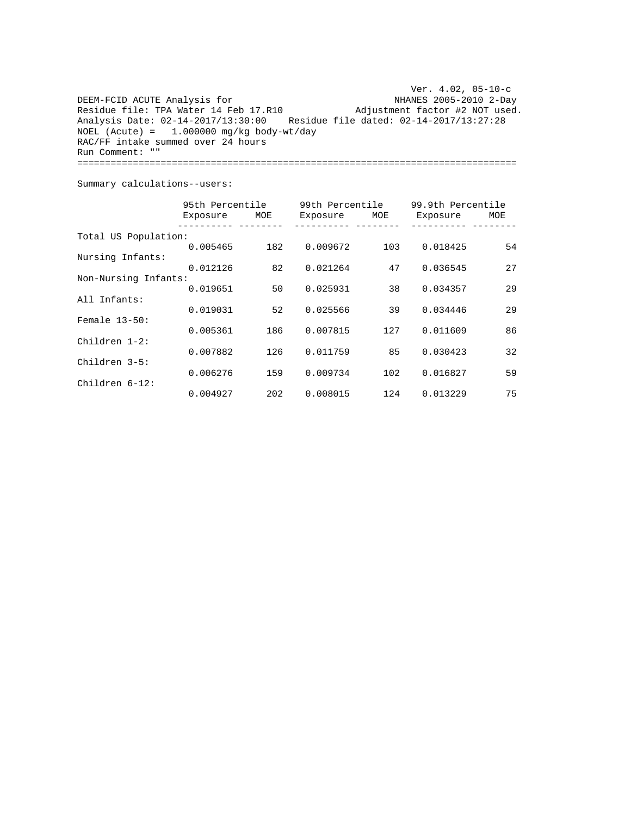Ver. 4.02, 05-10-c NHANES 2005-2010 2-Day Residue file: TPA Water 14 Feb 17.R10 Adjustment factor #2 NOT used. Analysis Date: 02-14-2017/13:30:00 Residue file dated: 02-14-2017/13:27:28 DEEM-FCID ACUTE Analysis for  $NOEL$  (Acute) = 1.000000 mg/kg body-wt/day RAC/FF intake summed over 24 hours Run Comment: "" ===============================================================================

Summary calculations--users:

|                      | 95th Percentile |     | 99th Percentile |     | 99.9th Percentile |     |
|----------------------|-----------------|-----|-----------------|-----|-------------------|-----|
|                      | Exposure        | MOE | Exposure        | MOE | Exposure          | MOE |
| Total US Population: |                 |     |                 |     |                   |     |
|                      | 0.005465        | 182 | 0.009672        | 103 | 0.018425          | 54  |
| Nursing Infants:     |                 |     |                 |     |                   |     |
|                      | 0.012126        | 82  | 0.021264        | 47  | 0.036545          | 27  |
| Non-Nursing Infants: |                 |     |                 |     |                   |     |
|                      | 0.019651        | 50  | 0.025931        | 38  | 0.034357          | 29  |
| All Infants:         |                 |     |                 |     |                   |     |
|                      | 0.019031        | 52  | 0.025566        | 39  | 0.034446          | 29  |
| Female $13-50$ :     |                 |     |                 |     |                   |     |
|                      | 0.005361        | 186 | 0.007815        | 127 | 0.011609          | 86  |
| Children $1-2$ :     |                 |     |                 |     |                   |     |
|                      | 0.007882        | 126 | 0.011759        | 85  | 0.030423          | 32  |
| Children 3-5:        |                 |     |                 |     |                   |     |
|                      | 0.006276        | 159 | 0.009734        | 102 | 0.016827          | 59  |
| Children 6-12:       |                 |     |                 |     |                   |     |
|                      | 0.004927        | 202 | 0.008015        | 124 | 0.013229          | 75  |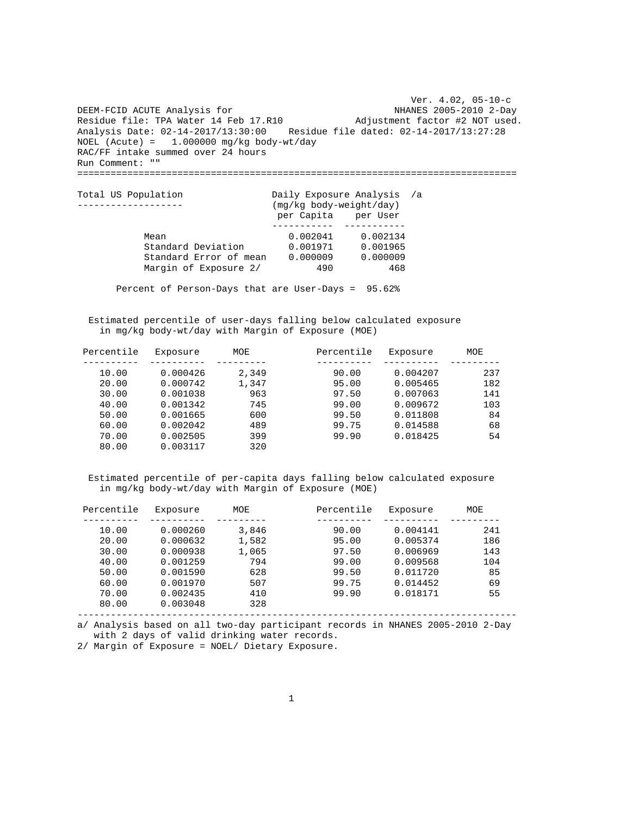Ver. 4.02, 05-10-c NHANES 2005-2010 2-Day Adjustment factor #2 NOT used. Analysis Date: 02-14-2017/13:30:00 Residue file dated: 02-14-2017/13:27:28 DEEM-FCID ACUTE Analysis for Residue file: TPA Water 14 Feb 17.R10  $NOEL$  (Acute) = 1.000000 mg/kg body-wt/day RAC/FF intake summed over 24 hours Run Comment: "" ===============================================================================

| Total US Population    | Daily Exposure Analysis /a<br>(mg/kg body-weight/day) |          |  |
|------------------------|-------------------------------------------------------|----------|--|
|                        | per Capita per User                                   |          |  |
| Mean                   | 0.002041                                              | 0.002134 |  |
| Standard Deviation     | 0.001971                                              | 0.001965 |  |
| Standard Error of mean | 0.000009                                              | 0.000009 |  |
| Margin of Exposure 2/  | 490                                                   | 468      |  |

Percent of Person-Days that are User-Days = 95.62%

 Estimated percentile of user-days falling below calculated exposure in mg/kg body-wt/day with Margin of Exposure (MOE)

| Percentile | Exposure | MOE   | Percentile | Exposure | MOE |
|------------|----------|-------|------------|----------|-----|
|            |          |       |            |          |     |
| 10.00      | 0.000426 | 2,349 | 90.00      | 0.004207 | 237 |
| 20.00      | 0.000742 | 1,347 | 95.00      | 0.005465 | 182 |
| 30.00      | 0.001038 | 963   | 97.50      | 0.007063 | 141 |
| 40.00      | 0.001342 | 745   | 99.00      | 0.009672 | 103 |
| 50.00      | 0.001665 | 600   | 99.50      | 0.011808 | 84  |
| 60.00      | 0.002042 | 489   | 99.75      | 0.014588 | 68  |
| 70.00      | 0.002505 | 399   | 99.90      | 0.018425 | 54  |
| 80.00      | 0.003117 | 320   |            |          |     |

 Estimated percentile of per-capita days falling below calculated exposure in mg/kg body-wt/day with Margin of Exposure (MOE)

| Percentile | Exposure | MOE   | Percentile | Exposure | MOE |
|------------|----------|-------|------------|----------|-----|
|            |          |       |            |          |     |
| 10.00      | 0.000260 | 3,846 | 90.00      | 0.004141 | 241 |
| 20.00      | 0.000632 | 1,582 | 95.00      | 0.005374 | 186 |
| 30.00      | 0.000938 | 1,065 | 97.50      | 0.006969 | 143 |
| 40.00      | 0.001259 | 794   | 99.00      | 0.009568 | 104 |
| 50.00      | 0.001590 | 628   | 99.50      | 0.011720 | 85  |
| 60.00      | 0.001970 | 507   | 99.75      | 0.014452 | 69  |
| 70.00      | 0.002435 | 410   | 99.90      | 0.018171 | 55  |
| 80.00      | 0.003048 | 328   |            |          |     |

------------------------------------------------------------------------------ a/ Analysis based on all two-day participant records in NHANES 2005-2010 2-Day

with 2 days of valid drinking water records.

2/ Margin of Exposure = NOEL/ Dietary Exposure.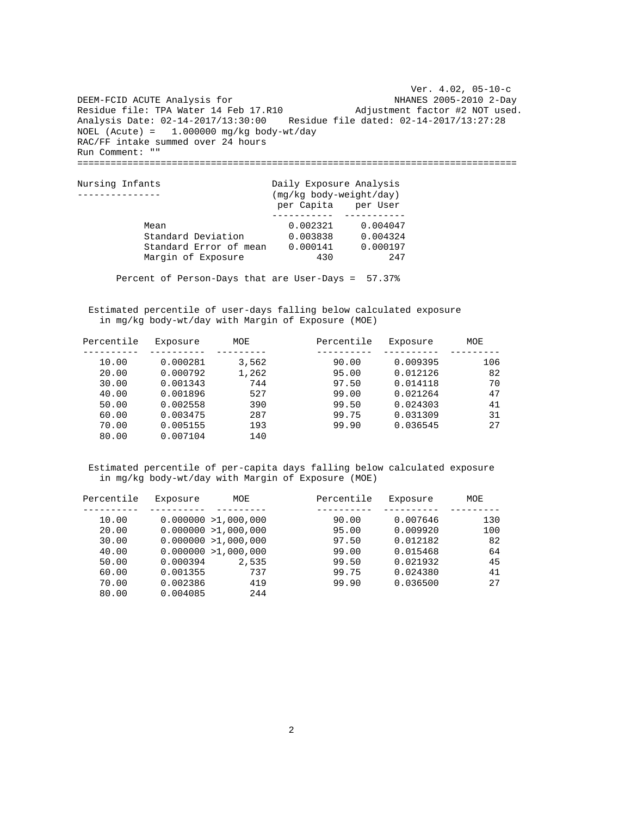Ver. 4.02, 05-10-c NHANES 2005-2010 2-Day Adjustment factor #2 NOT used. Analysis Date: 02-14-2017/13:30:00 Residue file dated: 02-14-2017/13:27:28 DEEM-FCID ACUTE Analysis for Residue file: TPA Water 14 Feb 17.R10  $NOEL$  (Acute) = 1.000000 mg/kg body-wt/day RAC/FF intake summed over 24 hours Run Comment: "" ===============================================================================

| Nursing Infants        | Daily Exposure Analysis<br>(mg/kg body-weight/day) |          |  |  |
|------------------------|----------------------------------------------------|----------|--|--|
|                        | per Capita per User                                |          |  |  |
|                        |                                                    |          |  |  |
| Mean                   | 0.002321                                           | 0.004047 |  |  |
| Standard Deviation     | 0.003838                                           | 0.004324 |  |  |
| Standard Error of mean | 0.000141                                           | 0.000197 |  |  |
| Margin of Exposure     | 430                                                | 247      |  |  |

Percent of Person-Days that are User-Days = 57.37%

 Estimated percentile of user-days falling below calculated exposure in mg/kg body-wt/day with Margin of Exposure (MOE)

| Percentile | Exposure | MOE   | Percentile | Exposure | MOE |
|------------|----------|-------|------------|----------|-----|
|            |          |       |            |          |     |
| 10.00      | 0.000281 | 3,562 | 90.00      | 0.009395 | 106 |
| 20.00      | 0.000792 | 1,262 | 95.00      | 0.012126 | 82  |
| 30.00      | 0.001343 | 744   | 97.50      | 0.014118 | 70  |
| 40.00      | 0.001896 | 527   | 99.00      | 0.021264 | 47  |
| 50.00      | 0.002558 | 390   | 99.50      | 0.024303 | 41  |
| 60.00      | 0.003475 | 287   | 99.75      | 0.031309 | 31  |
| 70.00      | 0.005155 | 193   | 99.90      | 0.036545 | 27  |
| 80.00      | 0.007104 | 140   |            |          |     |

| Percentile | Exposure | MOE                  | Percentile | Exposure | MOE |
|------------|----------|----------------------|------------|----------|-----|
|            |          |                      |            |          |     |
| 10.00      |          | 0.000000 > 1,000,000 | 90.00      | 0.007646 | 130 |
| 20.00      |          | 0.000000 > 1,000,000 | 95.00      | 0.009920 | 100 |
| 30.00      |          | 0.000000 > 1,000,000 | 97.50      | 0.012182 | 82  |
| 40.00      |          | 0.000000 > 1,000,000 | 99.00      | 0.015468 | 64  |
| 50.00      | 0.000394 | 2,535                | 99.50      | 0.021932 | 45  |
| 60.00      | 0.001355 | 737                  | 99.75      | 0.024380 | 41  |
| 70.00      | 0.002386 | 419                  | 99.90      | 0.036500 | 27  |
| 80.00      | 0.004085 | 244                  |            |          |     |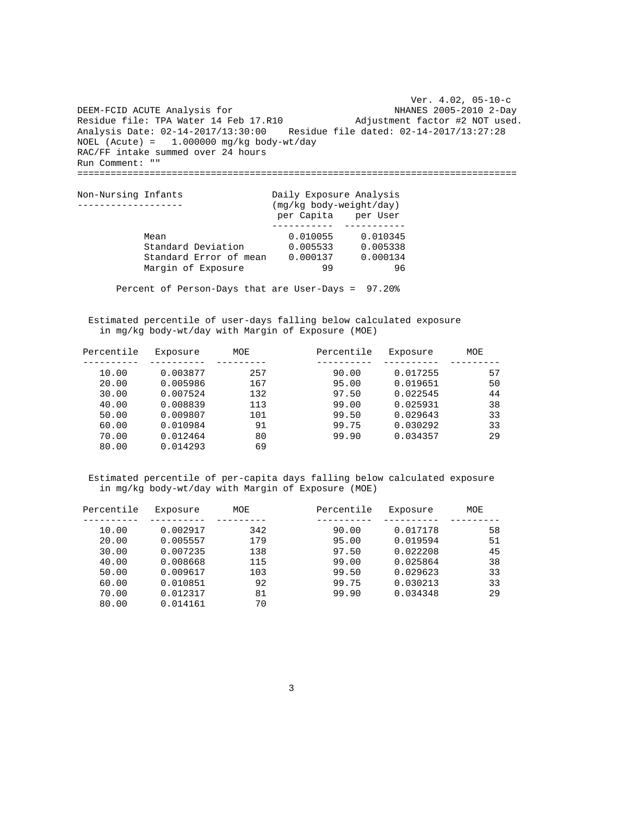Ver. 4.02, 05-10-c NHANES 2005-2010 2-Day Adjustment factor #2 NOT used. Analysis Date: 02-14-2017/13:30:00 Residue file dated: 02-14-2017/13:27:28 DEEM-FCID ACUTE Analysis for Residue file: TPA Water 14 Feb 17.R10 NOEL (Acute) = 1.000000 mg/kg body-wt/day RAC/FF intake summed over 24 hours Run Comment: "" ===============================================================================

| Non-Nursing Infants    | Daily Exposure Analysis |          |
|------------------------|-------------------------|----------|
|                        | (mg/kg body-weight/day) |          |
|                        | per Capita per User     |          |
|                        |                         |          |
| Mean                   | 0.010055                | 0.010345 |
| Standard Deviation     | 0.005533                | 0.005338 |
| Standard Error of mean | 0.000137                | 0.000134 |
| Margin of Exposure     | 99                      | 96       |
|                        |                         |          |

Percent of Person-Days that are User-Days = 97.20%

 Estimated percentile of user-days falling below calculated exposure in mg/kg body-wt/day with Margin of Exposure (MOE)

| Percentile | Exposure | MOE | Percentile | Exposure | MOE |
|------------|----------|-----|------------|----------|-----|
|            |          |     |            |          |     |
| 10.00      | 0.003877 | 257 | 90.00      | 0.017255 | 57  |
| 20.00      | 0.005986 | 167 | 95.00      | 0.019651 | 50  |
| 30.00      | 0.007524 | 132 | 97.50      | 0.022545 | 44  |
| 40.00      | 0.008839 | 113 | 99.00      | 0.025931 | 38  |
| 50.00      | 0.009807 | 101 | 99.50      | 0.029643 | 33  |
| 60.00      | 0.010984 | 91  | 99.75      | 0.030292 | 33  |
| 70.00      | 0.012464 | 80  | 99.90      | 0.034357 | 29  |
| 80.00      | 0.014293 | 69  |            |          |     |

| Percentile | Exposure | MOE | Percentile | Exposure | MOE |
|------------|----------|-----|------------|----------|-----|
|            |          |     |            |          |     |
| 10.00      | 0.002917 | 342 | 90.00      | 0.017178 | 58  |
| 20.00      | 0.005557 | 179 | 95.00      | 0.019594 | 51  |
| 30.00      | 0.007235 | 138 | 97.50      | 0.022208 | 45  |
| 40.00      | 0.008668 | 115 | 99.00      | 0.025864 | 38  |
| 50.00      | 0.009617 | 103 | 99.50      | 0.029623 | 33  |
| 60.00      | 0.010851 | 92  | 99.75      | 0.030213 | 33  |
| 70.00      | 0.012317 | 81  | 99.90      | 0.034348 | 29  |
| 80.00      | 0.014161 | 70  |            |          |     |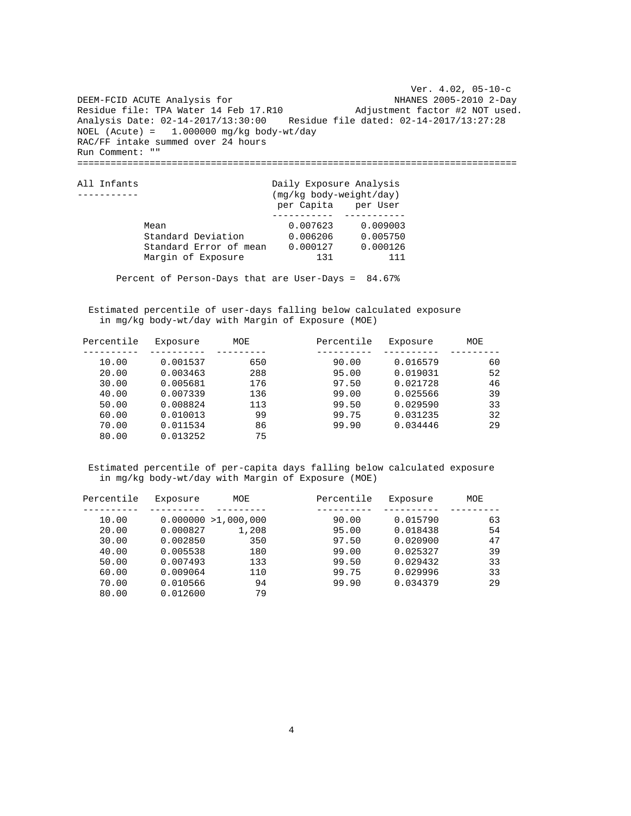Ver. 4.02, 05-10-c NHANES 2005-2010 2-Day Adjustment factor #2 NOT used. Analysis Date: 02-14-2017/13:30:00 Residue file dated: 02-14-2017/13:27:28 DEEM-FCID ACUTE Analysis for Residue file: TPA Water 14 Feb 17.R10  $NOEL$  (Acute) = 1.000000 mg/kg body-wt/day RAC/FF intake summed over 24 hours Run Comment: "" ===============================================================================

| All Infants            | Daily Exposure Analysis<br>(mg/kg body-weight/day) |          |  |  |
|------------------------|----------------------------------------------------|----------|--|--|
|                        | per Capita per User                                |          |  |  |
|                        |                                                    |          |  |  |
| Mean                   | 0.007623                                           | 0.009003 |  |  |
| Standard Deviation     | 0.006206                                           | 0.005750 |  |  |
| Standard Error of mean | 0.000127                                           | 0.000126 |  |  |
| Margin of Exposure     | 131                                                | 111      |  |  |

Percent of Person-Days that are User-Days = 84.67%

 Estimated percentile of user-days falling below calculated exposure in mg/kg body-wt/day with Margin of Exposure (MOE)

| Percentile | Exposure | MOE | Percentile | Exposure | MOE |
|------------|----------|-----|------------|----------|-----|
|            |          |     |            |          |     |
| 10.00      | 0.001537 | 650 | 90.00      | 0.016579 | 60  |
| 20.00      | 0.003463 | 288 | 95.00      | 0.019031 | 52  |
| 30.00      | 0.005681 | 176 | 97.50      | 0.021728 | 46  |
| 40.00      | 0.007339 | 136 | 99.00      | 0.025566 | 39  |
| 50.00      | 0.008824 | 113 | 99.50      | 0.029590 | 33  |
| 60.00      | 0.010013 | 99  | 99.75      | 0.031235 | 32  |
| 70.00      | 0.011534 | 86  | 99.90      | 0.034446 | 29  |
| 80.00      | 0.013252 | 75  |            |          |     |

| Percentile | Exposure | MOE                  | Percentile | Exposure | MOE |
|------------|----------|----------------------|------------|----------|-----|
|            |          |                      |            |          |     |
| 10.00      |          | 0.000000 > 1,000,000 | 90.00      | 0.015790 | 63  |
| 20.00      | 0.000827 | 1,208                | 95.00      | 0.018438 | 54  |
| 30.00      | 0.002850 | 350                  | 97.50      | 0.020900 | 47  |
| 40.00      | 0.005538 | 180                  | 99.00      | 0.025327 | 39  |
| 50.00      | 0.007493 | 133                  | 99.50      | 0.029432 | 33  |
| 60.00      | 0.009064 | 110                  | 99.75      | 0.029996 | 33  |
| 70.00      | 0.010566 | 94                   | 99.90      | 0.034379 | 29  |
| 80.00      | 0.012600 | 79                   |            |          |     |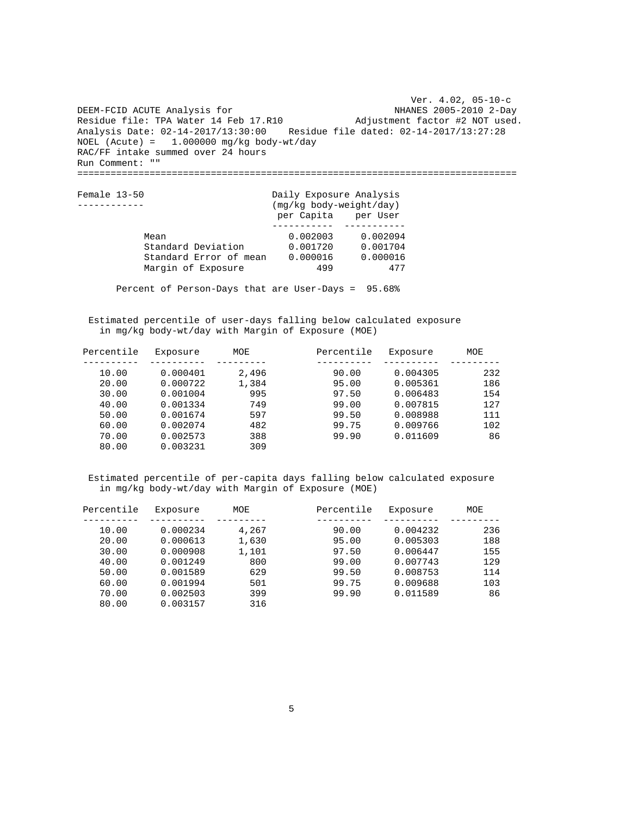Ver. 4.02, 05-10-c NHANES 2005-2010 2-Day Adjustment factor #2 NOT used. Analysis Date: 02-14-2017/13:30:00 Residue file dated: 02-14-2017/13:27:28 DEEM-FCID ACUTE Analysis for Residue file: TPA Water 14 Feb 17.R10 NOEL (Acute) = 1.000000 mg/kg body-wt/day RAC/FF intake summed over 24 hours Run Comment: "" ===============================================================================

| Female 13-50           | Daily Exposure Analysis |          |  |  |
|------------------------|-------------------------|----------|--|--|
|                        | (mg/kg body-weight/day) |          |  |  |
|                        | per Capita per User     |          |  |  |
|                        |                         |          |  |  |
| Mean                   | 0.002003                | 0.002094 |  |  |
| Standard Deviation     | 0.001720                | 0.001704 |  |  |
| Standard Error of mean | 0.000016                | 0.000016 |  |  |
| Margin of Exposure     | 499                     | 477      |  |  |

Percent of Person-Days that are User-Days = 95.68%

 Estimated percentile of user-days falling below calculated exposure in mg/kg body-wt/day with Margin of Exposure (MOE)

| Percentile | Exposure | MOE   | Percentile | Exposure | MOE |
|------------|----------|-------|------------|----------|-----|
|            |          |       |            |          |     |
| 10.00      | 0.000401 | 2,496 | 90.00      | 0.004305 | 232 |
| 20.00      | 0.000722 | 1,384 | 95.00      | 0.005361 | 186 |
| 30.00      | 0.001004 | 995   | 97.50      | 0.006483 | 154 |
| 40.00      | 0.001334 | 749   | 99.00      | 0.007815 | 127 |
| 50.00      | 0.001674 | 597   | 99.50      | 0.008988 | 111 |
| 60.00      | 0.002074 | 482   | 99.75      | 0.009766 | 102 |
| 70.00      | 0.002573 | 388   | 99.90      | 0.011609 | 86  |
| 80.00      | 0.003231 | 309   |            |          |     |

| Percentile | Exposure | <b>MOE</b> | Percentile | Exposure | MOE |
|------------|----------|------------|------------|----------|-----|
|            |          |            |            |          |     |
| 10.00      | 0.000234 | 4,267      | 90.00      | 0.004232 | 236 |
| 20.00      | 0.000613 | 1,630      | 95.00      | 0.005303 | 188 |
| 30.00      | 0.000908 | 1,101      | 97.50      | 0.006447 | 155 |
| 40.00      | 0.001249 | 800        | 99.00      | 0.007743 | 129 |
| 50.00      | 0.001589 | 629        | 99.50      | 0.008753 | 114 |
| 60.00      | 0.001994 | 501        | 99.75      | 0.009688 | 103 |
| 70.00      | 0.002503 | 399        | 99.90      | 0.011589 | 86  |
| 80.00      | 0.003157 | 316        |            |          |     |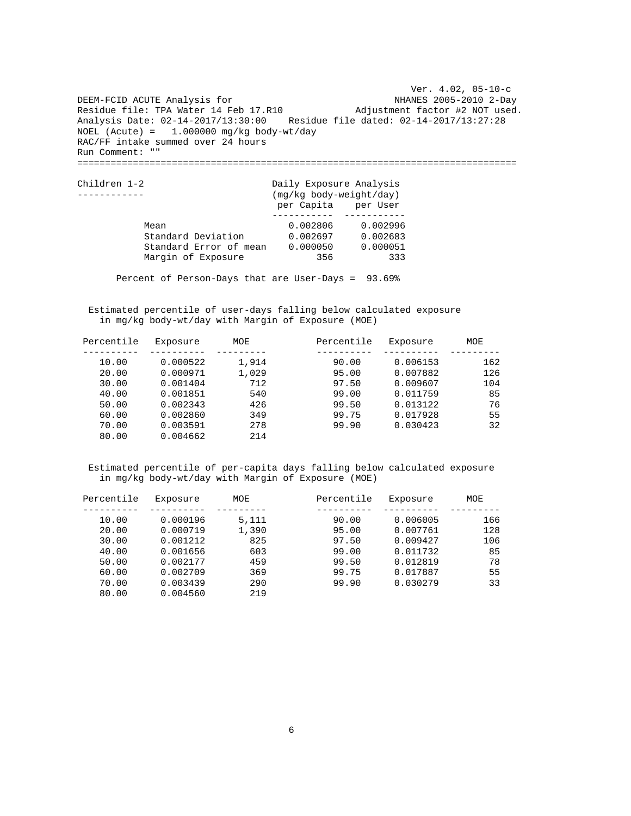Ver. 4.02, 05-10-c NHANES 2005-2010 2-Day Adjustment factor #2 NOT used. Analysis Date: 02-14-2017/13:30:00 Residue file dated: 02-14-2017/13:27:28 DEEM-FCID ACUTE Analysis for Residue file: TPA Water 14 Feb 17.R10  $NOEL$  (Acute) = 1.000000 mg/kg body-wt/day RAC/FF intake summed over 24 hours Run Comment: "" ===============================================================================

| Children 1-2           | Daily Exposure Analysis<br>(mg/kg body-weight/day) |          |  |  |
|------------------------|----------------------------------------------------|----------|--|--|
|                        | per Capita per User                                |          |  |  |
| Mean                   | 0.002806                                           | 0.002996 |  |  |
| Standard Deviation     | 0.002697                                           | 0.002683 |  |  |
| Standard Error of mean | 0.000050                                           | 0.000051 |  |  |
| Margin of Exposure     | 356                                                | 333      |  |  |

Percent of Person-Days that are User-Days = 93.69%

 Estimated percentile of user-days falling below calculated exposure in mg/kg body-wt/day with Margin of Exposure (MOE)

| Percentile | Exposure | MOE   | Percentile | Exposure | MOE |
|------------|----------|-------|------------|----------|-----|
|            |          |       |            |          |     |
| 10.00      | 0.000522 | 1,914 | 90.00      | 0.006153 | 162 |
| 20.00      | 0.000971 | 1,029 | 95.00      | 0.007882 | 126 |
| 30.00      | 0.001404 | 712   | 97.50      | 0.009607 | 104 |
| 40.00      | 0.001851 | 540   | 99.00      | 0.011759 | 85  |
| 50.00      | 0.002343 | 426   | 99.50      | 0.013122 | 76  |
| 60.00      | 0.002860 | 349   | 99.75      | 0.017928 | 55  |
| 70.00      | 0.003591 | 278   | 99.90      | 0.030423 | 32  |
| 80.00      | 0.004662 | 214   |            |          |     |

| Percentile | Exposure | MOE   | Percentile | Exposure | MOE |
|------------|----------|-------|------------|----------|-----|
|            |          |       |            |          |     |
| 10.00      | 0.000196 | 5,111 | 90.00      | 0.006005 | 166 |
| 20.00      | 0.000719 | 1,390 | 95.00      | 0.007761 | 128 |
| 30.00      | 0.001212 | 825   | 97.50      | 0.009427 | 106 |
| 40.00      | 0.001656 | 603   | 99.00      | 0.011732 | 85  |
| 50.00      | 0.002177 | 459   | 99.50      | 0.012819 | 78  |
| 60.00      | 0.002709 | 369   | 99.75      | 0.017887 | 55  |
| 70.00      | 0.003439 | 290   | 99.90      | 0.030279 | 33  |
| 80.00      | 0.004560 | 219   |            |          |     |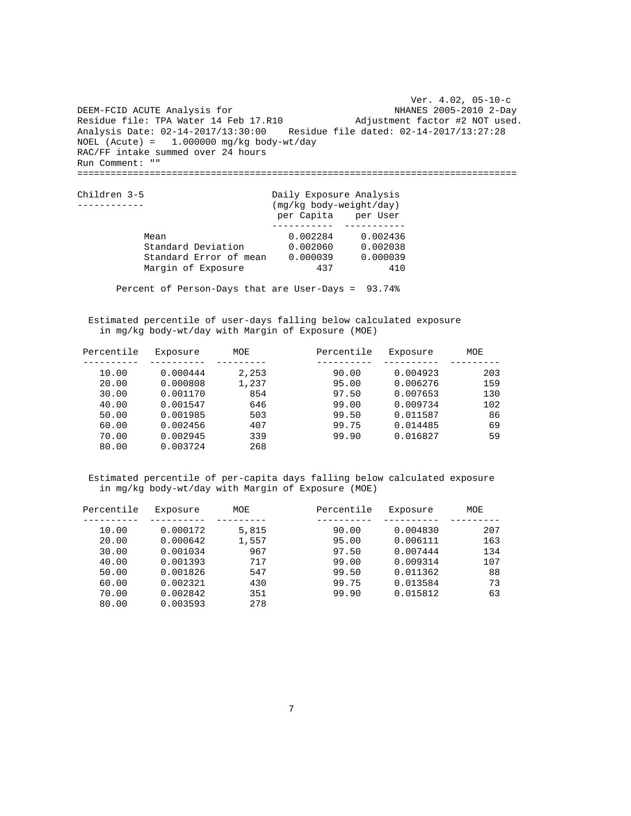Ver. 4.02, 05-10-c NHANES 2005-2010 2-Day Adjustment factor #2 NOT used. Analysis Date: 02-14-2017/13:30:00 Residue file dated: 02-14-2017/13:27:28 DEEM-FCID ACUTE Analysis for Residue file: TPA Water 14 Feb 17.R10 NOEL (Acute) = 1.000000 mg/kg body-wt/day RAC/FF intake summed over 24 hours Run Comment: "" ===============================================================================

| Children 3-5           | Daily Exposure Analysis |          |  |  |
|------------------------|-------------------------|----------|--|--|
|                        | (mg/kg body-weight/day) |          |  |  |
|                        | per Capita per User     |          |  |  |
|                        |                         |          |  |  |
| Mean                   | 0.002284                | 0.002436 |  |  |
| Standard Deviation     | 0.002060                | 0.002038 |  |  |
| Standard Error of mean | 0.000039                | 0.000039 |  |  |
| Margin of Exposure     | 437                     | 410      |  |  |

Percent of Person-Days that are User-Days = 93.74%

 Estimated percentile of user-days falling below calculated exposure in mg/kg body-wt/day with Margin of Exposure (MOE)

| Percentile | Exposure | MOE   | Percentile | Exposure | MOE |
|------------|----------|-------|------------|----------|-----|
|            |          |       |            |          |     |
| 10.00      | 0.000444 | 2,253 | 90.00      | 0.004923 | 203 |
| 20.00      | 0.000808 | 1,237 | 95.00      | 0.006276 | 159 |
| 30.00      | 0.001170 | 854   | 97.50      | 0.007653 | 130 |
| 40.00      | 0.001547 | 646   | 99.00      | 0.009734 | 102 |
| 50.00      | 0.001985 | 503   | 99.50      | 0.011587 | 86  |
| 60.00      | 0.002456 | 407   | 99.75      | 0.014485 | 69  |
| 70.00      | 0.002945 | 339   | 99.90      | 0.016827 | 59  |
| 80.00      | 0.003724 | 268   |            |          |     |

| Percentile | Exposure | MOE   | Percentile | Exposure | MOE |
|------------|----------|-------|------------|----------|-----|
|            |          |       |            |          |     |
| 10.00      | 0.000172 | 5,815 | 90.00      | 0.004830 | 207 |
| 20.00      | 0.000642 | 1,557 | 95.00      | 0.006111 | 163 |
| 30.00      | 0.001034 | 967   | 97.50      | 0.007444 | 134 |
| 40.00      | 0.001393 | 717   | 99.00      | 0.009314 | 107 |
| 50.00      | 0.001826 | 547   | 99.50      | 0.011362 | 88  |
| 60.00      | 0.002321 | 430   | 99.75      | 0.013584 | 73  |
| 70.00      | 0.002842 | 351   | 99.90      | 0.015812 | 63  |
| 80.00      | 0.003593 | 278   |            |          |     |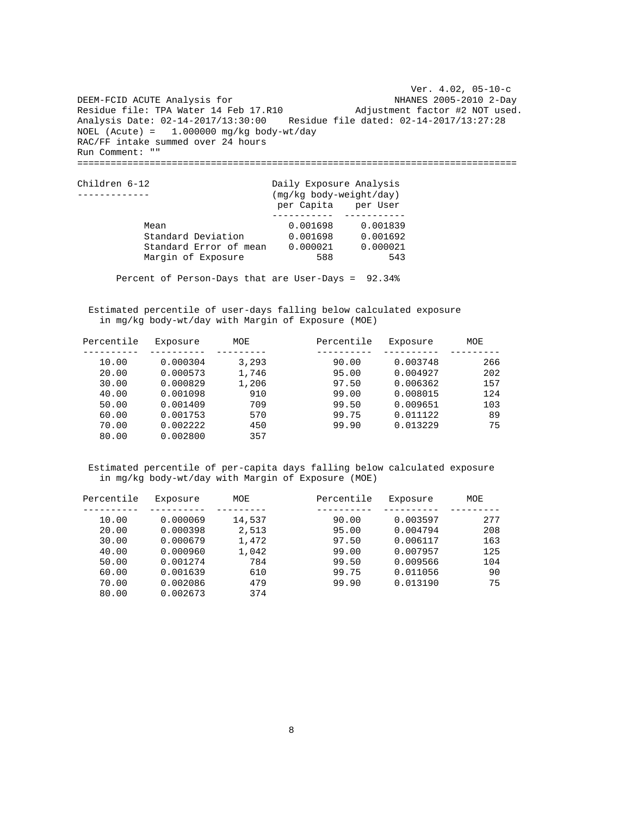Ver. 4.02, 05-10-c NHANES 2005-2010 2-Day Adjustment factor #2 NOT used. Analysis Date: 02-14-2017/13:30:00 Residue file dated: 02-14-2017/13:27:28 DEEM-FCID ACUTE Analysis for Residue file: TPA Water 14 Feb 17.R10  $NOEL$  (Acute) = 1.000000 mg/kg body-wt/day RAC/FF intake summed over 24 hours Run Comment: "" ===============================================================================

| Children 6-12          | Daily Exposure Analysis<br>(mg/kg body-weight/day) |          |  |  |
|------------------------|----------------------------------------------------|----------|--|--|
|                        | per Capita per User                                |          |  |  |
|                        |                                                    |          |  |  |
| Mean                   | 0.001698                                           | 0.001839 |  |  |
| Standard Deviation     | 0.001698                                           | 0.001692 |  |  |
| Standard Error of mean | 0.000021                                           | 0.000021 |  |  |
| Margin of Exposure     | 588                                                | 543      |  |  |

Percent of Person-Days that are User-Days = 92.34%

 Estimated percentile of user-days falling below calculated exposure in mg/kg body-wt/day with Margin of Exposure (MOE)

| Percentile | Exposure | MOE   | Percentile | Exposure | MOE |
|------------|----------|-------|------------|----------|-----|
|            |          |       |            |          |     |
| 10.00      | 0.000304 | 3,293 | 90.00      | 0.003748 | 266 |
| 20.00      | 0.000573 | 1,746 | 95.00      | 0.004927 | 202 |
| 30.00      | 0.000829 | 1,206 | 97.50      | 0.006362 | 157 |
| 40.00      | 0.001098 | 910   | 99.00      | 0.008015 | 124 |
| 50.00      | 0.001409 | 709   | 99.50      | 0.009651 | 103 |
| 60.00      | 0.001753 | 570   | 99.75      | 0.011122 | 89  |
| 70.00      | 0.002222 | 450   | 99.90      | 0.013229 | 75  |
| 80.00      | 0.002800 | 357   |            |          |     |

| Percentile | Exposure | MOE    | Percentile | Exposure | MOE |
|------------|----------|--------|------------|----------|-----|
|            |          |        |            |          |     |
| 10.00      | 0.000069 | 14,537 | 90.00      | 0.003597 | 277 |
| 20.00      | 0.000398 | 2,513  | 95.00      | 0.004794 | 208 |
| 30.00      | 0.000679 | 1,472  | 97.50      | 0.006117 | 163 |
| 40.00      | 0.000960 | 1,042  | 99.00      | 0.007957 | 125 |
| 50.00      | 0.001274 | 784    | 99.50      | 0.009566 | 104 |
| 60.00      | 0.001639 | 610    | 99.75      | 0.011056 | 90  |
| 70.00      | 0.002086 | 479    | 99.90      | 0.013190 | 75  |
| 80.00      | 0.002673 | 374    |            |          |     |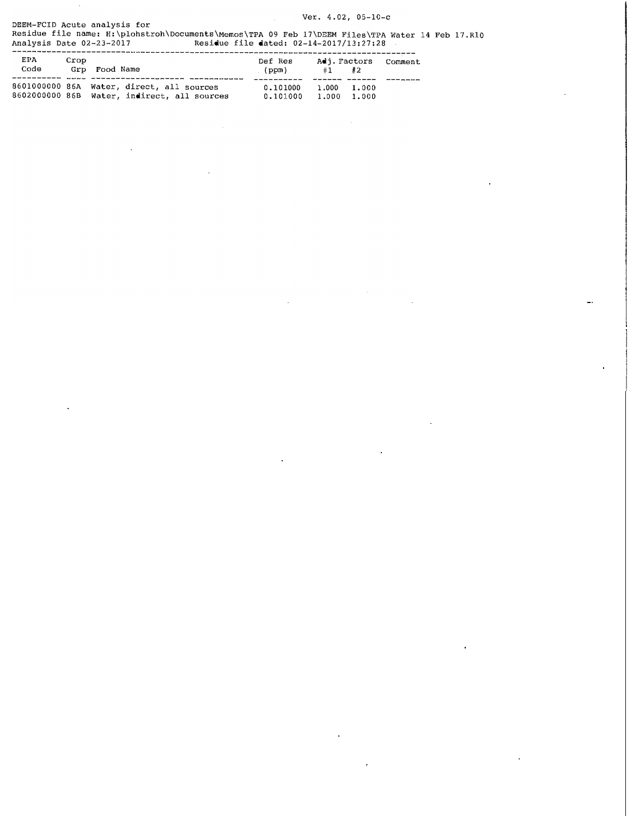Ver. 4.02, 05-10-c DEEM-FCID Acute analysis for

 $\hat{\mathcal{A}}$ 

Residue file name: H:\plohstroh\Documents\Memos\TPA 09 Feb 17\DEEM Files\TPA Water 14 Feb 17.RlO Analysis Date 02-23-2017 Residue file dated: 02-14-2017/13:27:28

| EPA<br>Code | Crop | Grp Food Name                                                                            | Def Res<br>(ppm)     | Adj. Factors<br>#1         | #2 | Comment |
|-------------|------|------------------------------------------------------------------------------------------|----------------------|----------------------------|----|---------|
|             |      | 8601000000 86A Water, direct, all sources<br>8602000000 86B Water, indirect, all sources | 0.101000<br>0.101000 | 1.000 1.000<br>1.000 1.000 |    |         |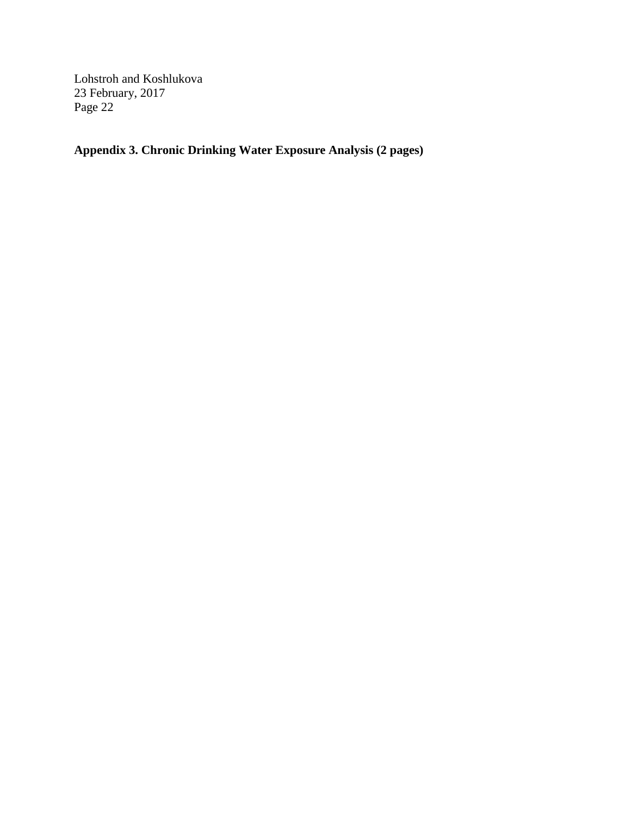**Appendix 3. Chronic Drinking Water Exposure Analysis (2 pages)**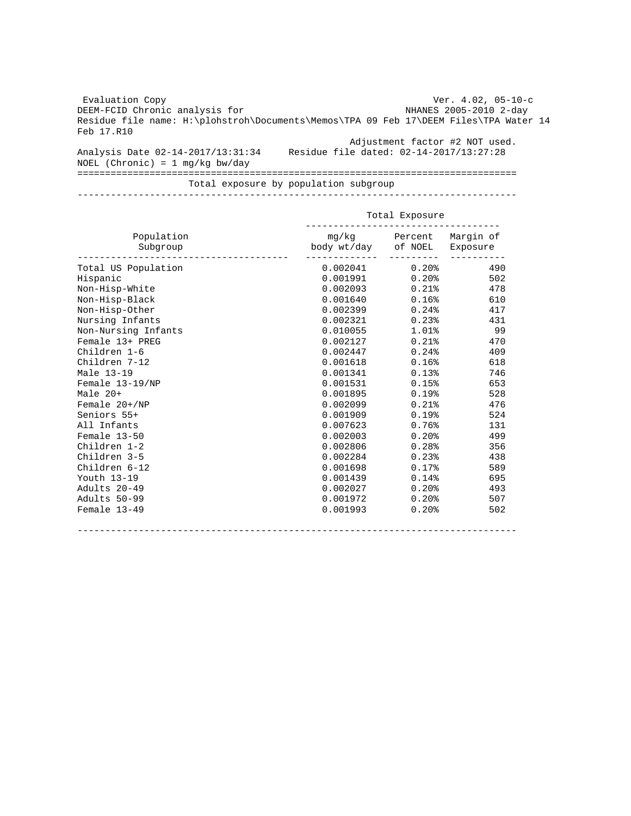Evaluation Copy DEEM-FCID Chronic analysis for Residue file name: H:\plohstroh\Documents\Memos\TPA 09 Feb 17\DEEM Files\TPA Water 14 Feb 17.R10 Ver. 4.02, 05-10-c NHANES 2005-2010 2-day Analysis Date 02-14-2017/13:31:34 Residue file dated: 02-14-2017/13:27:28 NOEL (Chronic) = 1 mg/kg bw/day Adjustment factor #2 NOT used. =============================================================================== Total exposure by population subgroup

-------------------------------------------------------------------------------

|                        | Total Exposure      |                         |          |  |
|------------------------|---------------------|-------------------------|----------|--|
| Population<br>Subgroup | body wt/day of NOEL | mg/kg Percent Margin of | Exposure |  |
| Total US Population    | 0.002041            | $0.20\%$                | 490      |  |
| Hispanic               | 0.001991            | $0.20\%$                | 502      |  |
| Non-Hisp-White         | 0.002093            | $0.21$ %                | 478      |  |
| Non-Hisp-Black         | 0.001640            | $0.16$ °                | 610      |  |
| Non-Hisp-Other         | 0.002399            | 0.24%                   | 417      |  |
| Nursing Infants        | 0.002321            | $0.23$ $*$              | 431      |  |
| Non-Nursing Infants    | 0.010055            | $1.01\$                 | 99       |  |
| Female 13+ PREG        | 0.002127            | $0.21$ %                | 470      |  |
| Children 1-6           | 0.002447            | 0.24%                   | 409      |  |
| Children 7-12          | 0.001618            | 0.16%                   | 618      |  |
| Male 13-19             | 0.001341            | 0.13%                   | 746      |  |
| Female 13-19/NP        | 0.001531            | 0.15%                   | 653      |  |
| Male 20+               | 0.001895            | 0.19%                   | 528      |  |
| Female $20+/NP$        | 0.002099            | $0.21$ $8$              | 476      |  |
| Seniors 55+            | 0.001909            | 0.19%                   | 524      |  |
| All Infants            | 0.007623            | 0.76%                   | 131      |  |
| Female 13-50           | 0.002003            | 0.20%                   | 499      |  |
| Children 1-2           | 0.002806            | 0.28%                   | 356      |  |
| Children 3-5           | 0.002284            | 0.23%                   | 438      |  |
| Children 6-12          | 0.001698            | 0.17%                   | 589      |  |
| Youth 13-19            | 0.001439            | 0.14%                   | 695      |  |
| Adults 20-49           | 0.002027            | $0.20$ $8$              | 493      |  |
| Adults 50-99           | 0.001972            | $0.20$ $8$              | 507      |  |
| Female 13-49           | 0.001993            | 0.20%                   | 502      |  |